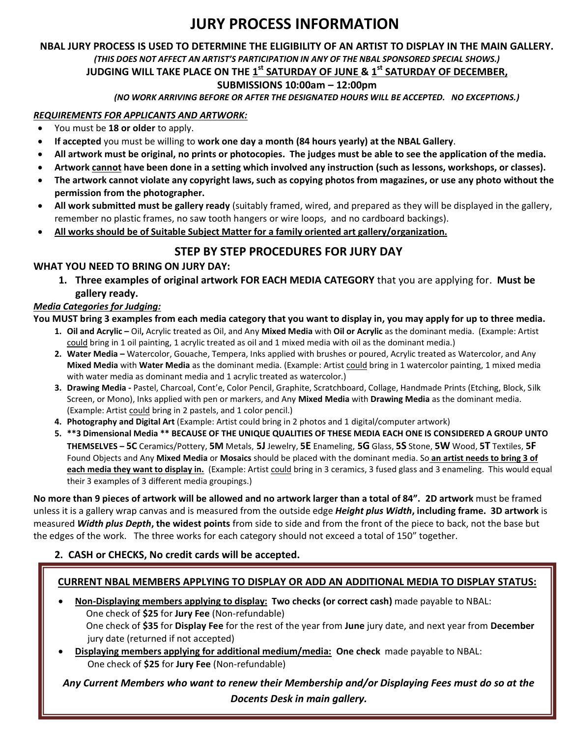# **JURY PROCESS INFORMATION**

# **NBAL JURY PROCESS IS USED TO DETERMINE THE ELIGIBILITY OF AN ARTIST TO DISPLAY IN THE MAIN GALLERY.**  *(THIS DOES NOT AFFECT AN ARTIST'S PARTICIPATION IN ANY OF THE NBAL SPONSORED SPECIAL SHOWS.)*

# **JUDGING WILL TAKE PLACE ON THE 1 st SATURDAY OF JUNE & 1 st SATURDAY OF DECEMBER,**

#### **SUBMISSIONS 10:00am – 12:00pm**

*(NO WORK ARRIVING BEFORE OR AFTER THE DESIGNATED HOURS WILL BE ACCEPTED. NO EXCEPTIONS.)*

#### *REQUIREMENTS FOR APPLICANTS AND ARTWORK:*

- You must be **18 or older** to apply.
- **If accepted** you must be willing to **work one day a month (84 hours yearly) at the NBAL Gallery**.
- **All artwork must be original, no prints or photocopies. The judges must be able to see the application of the media.**
- **Artwork cannot have been done in a setting which involved any instruction (such as lessons, workshops, or classes).**
- **The artwork cannot violate any copyright laws, such as copying photos from magazines, or use any photo without the permission from the photographer.**
- **All work submitted must be gallery ready** (suitably framed, wired, and prepared as they will be displayed in the gallery, remember no plastic frames, no saw tooth hangers or wire loops, and no cardboard backings).
- **All works should be of Suitable Subject Matter for a family oriented art gallery/organization.**

## **STEP BY STEP PROCEDURES FOR JURY DAY**

#### **WHAT YOU NEED TO BRING ON JURY DAY:**

**1. Three examples of original artwork FOR EACH MEDIA CATEGORY** that you are applying for. **Must be gallery ready.**

#### *Media Categories for Judging:*

#### **You MUST bring 3 examples from each media category that you want to display in, you may apply for up to three media.**

- **1. Oil and Acrylic –** Oil**,** Acrylic treated as Oil, and Any **Mixed Media** with **Oil or Acrylic** as the dominant media. (Example: Artist could bring in 1 oil painting, 1 acrylic treated as oil and 1 mixed media with oil as the dominant media.)
- **2. Water Media –** Watercolor, Gouache, Tempera, Inks applied with brushes or poured, Acrylic treated as Watercolor, and Any **Mixed Media** with **Water Media** as the dominant media. (Example: Artist could bring in 1 watercolor painting, 1 mixed media with water media as dominant media and 1 acrylic treated as watercolor.)
- **3. Drawing Media -** Pastel, Charcoal, Cont'e, Color Pencil, Graphite, Scratchboard, Collage, Handmade Prints (Etching, Block, Silk Screen, or Mono), Inks applied with pen or markers, and Any **Mixed Media** with **Drawing Media** as the dominant media. (Example: Artist could bring in 2 pastels, and 1 color pencil.)
- **4. Photography and Digital Art** (Example: Artist could bring in 2 photos and 1 digital/computer artwork)
- **5. \*\*3 Dimensional Media \*\* BECAUSE OF THE UNIQUE QUALITIES OF THESE MEDIA EACH ONE IS CONSIDERED A GROUP UNTO**  THEMSELVES - 5C Ceramics/Pottery, 5M Metals, 5J Jewelry, 5E Enameling, 5G Glass, 5S Stone, 5W Wood, 5T Textiles, 5F Found Objects and Any **Mixed Media** or **Mosaics** should be placed with the dominant media. So **an artist needs to bring 3 of each media they want to display in.** (Example: Artist could bring in 3 ceramics, 3 fused glass and 3 enameling. This would equal their 3 examples of 3 different media groupings.)

**No more than 9 pieces of artwork will be allowed and no artwork larger than a total of 84". 2D artwork** must be framed unless it is a gallery wrap canvas and is measured from the outside edge *Height plus Width***, including frame. 3D artwork** is measured *Width plus Depth***, the widest points** from side to side and from the front of the piece to back, not the base but the edges of the work. The three works for each category should not exceed a total of 150" together.

#### **2. CASH or CHECKS, No credit cards will be accepted.**

#### **CURRENT NBAL MEMBERS APPLYING TO DISPLAY OR ADD AN ADDITIONAL MEDIA TO DISPLAY STATUS:**

- **Non-Displaying members applying to display: Two checks (or correct cash)** made payable to NBAL: One check of **\$25** for **Jury Fee** (Non-refundable) One check of **\$35** for **Display Fee** for the rest of the year from **June** jury date, and next year from **December** jury date (returned if not accepted)
- **Displaying members applying for additional medium/media: One check** made payable to NBAL: One check of **\$25** for **Jury Fee** (Non-refundable)

*Any Current Members who want to renew their Membership and/or Displaying Fees must do so at the Docents Desk in main gallery.*